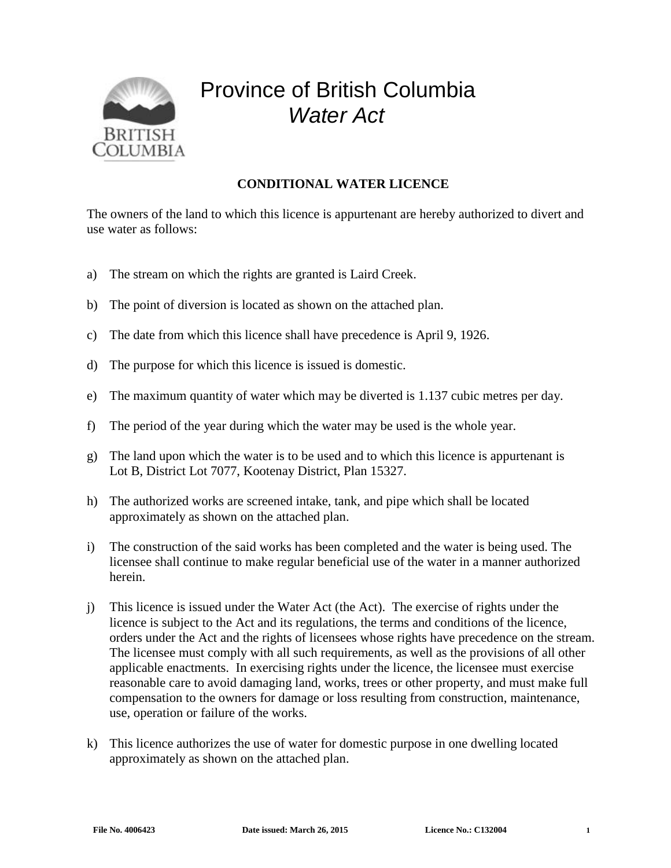

## Province of British Columbia *Water Act*

## **CONDITIONAL WATER LICENCE**

The owners of the land to which this licence is appurtenant are hereby authorized to divert and use water as follows:

- a) The stream on which the rights are granted is Laird Creek.
- b) The point of diversion is located as shown on the attached plan.
- c) The date from which this licence shall have precedence is April 9, 1926.
- d) The purpose for which this licence is issued is domestic.
- e) The maximum quantity of water which may be diverted is 1.137 cubic metres per day.
- f) The period of the year during which the water may be used is the whole year.
- g) The land upon which the water is to be used and to which this licence is appurtenant is Lot B, District Lot 7077, Kootenay District, Plan 15327.
- h) The authorized works are screened intake, tank, and pipe which shall be located approximately as shown on the attached plan.
- i) The construction of the said works has been completed and the water is being used. The licensee shall continue to make regular beneficial use of the water in a manner authorized herein.
- j) This licence is issued under the Water Act (the Act). The exercise of rights under the licence is subject to the Act and its regulations, the terms and conditions of the licence, orders under the Act and the rights of licensees whose rights have precedence on the stream. The licensee must comply with all such requirements, as well as the provisions of all other applicable enactments. In exercising rights under the licence, the licensee must exercise reasonable care to avoid damaging land, works, trees or other property, and must make full compensation to the owners for damage or loss resulting from construction, maintenance, use, operation or failure of the works.
- k) This licence authorizes the use of water for domestic purpose in one dwelling located approximately as shown on the attached plan.